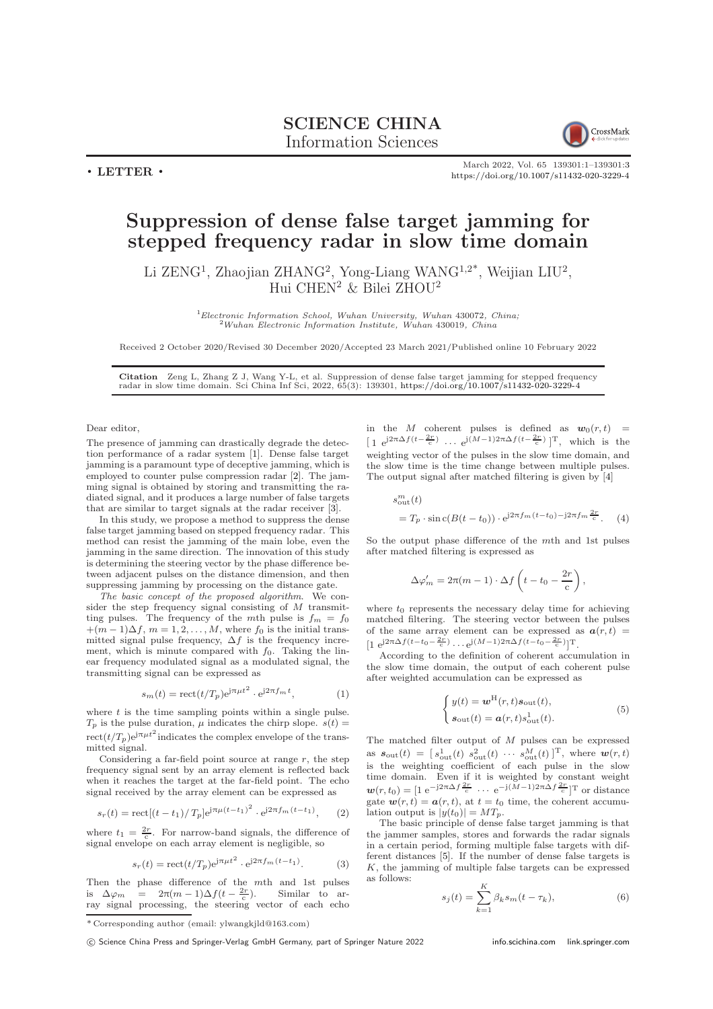## SCIENCE CHINA Information Sciences



March 2022, Vol. 65 139301:1–139301[:3](#page-2-0) <https://doi.org/10.1007/s11432-020-3229-4>

## Suppression of dense false target jamming for stepped frequency radar in slow time domain

Li ZENG<sup>1</sup>, Zhaojian ZHANG<sup>2</sup>, Yong-Liang WANG<sup>1,2\*</sup>, Weijian LIU<sup>2</sup>, Hui CHEN<sup>2</sup> & Bilei ZHOU<sup>2</sup>

> ${}^{1}$ Electronic Information School, Wuhan University, Wuhan 430072, China;  $^{2}$ Wuhan Electronic Information Institute, Wuhan 430019, China

Received 2 October 2020/Revised 30 December 2020/Accepted 23 March 2021/Published online 10 February 2022

Citation Zeng L, Zhang Z J, Wang Y-L, et al. Suppression of dense false target jamming for stepped frequency radar in slow time domain. Sci China Inf Sci, 2022, 65(3): 139301, <https://doi.org/10.1007/s11432-020-3229-4>

Dear editor,

 $\cdot$  LETTER  $\cdot$ 

The presence of jamming can drastically degrade the detection performance of a radar system [\[1\]](#page-2-1). Dense false target jamming is a paramount type of deceptive jamming, which is employed to counter pulse compression radar [\[2\]](#page-2-2). The jamming signal is obtained by storing and transmitting the radiated signal, and it produces a large number of false targets that are similar to target signals at the radar receiver [\[3\]](#page-2-3).

In this study, we propose a method to suppress the dense false target jamming based on stepped frequency radar. This method can resist the jamming of the main lobe, even the jamming in the same direction. The innovation of this study is determining the steering vector by the phase difference between adjacent pulses on the distance dimension, and then suppressing jamming by processing on the distance gate.

The basic concept of the proposed algorithm. We consider the step frequency signal consisting of M transmitting pulses. The frequency of the mth pulse is  $f_m = f_0$  $+(m-1)\Delta f, m=1,2,\ldots,M$ , where  $f_0$  is the initial transmitted signal pulse frequency,  $\Delta f$  is the frequency increment, which is minute compared with  $f_0$ . Taking the linear frequency modulated signal as a modulated signal, the transmitting signal can be expressed as

$$
s_m(t) = \text{rect}(t/T_p) e^{j\pi \mu t^2} \cdot e^{j2\pi f_m t}, \qquad (1)
$$

where  $t$  is the time sampling points within a single pulse.  $T_p$  is the pulse duration,  $\mu$  indicates the chirp slope.  $s(t) =$  $rect(t/T_p)e^{j\pi\mu t^2}$  indicates the complex envelope of the transmitted signal.

Considering a far-field point source at range  $r$ , the step frequency signal sent by an array element is reflected back when it reaches the target at the far-field point. The echo signal received by the array element can be expressed as

$$
s_r(t) = \mathrm{rect}[(t - t_1)/T_p]e^{j\pi\mu(t - t_1)^2} \cdot e^{j2\pi f_m(t - t_1)}, \quad (2)
$$

where  $t_1 = \frac{2r}{c}$ . For narrow-band signals, the difference of signal envelope on each array element is negligible, so

$$
s_r(t) = \text{rect}(t/T_p) e^{j\pi \mu t^2} \cdot e^{j2\pi f_m(t - t_1)}.
$$
 (3)

Then the phase difference of the mth and 1st pulses<br>is  $\Delta \varphi_m = 2\pi (m-1) \Delta f(t-\frac{2r}{c})$ . Similar to array signal processing, the steering vector of each echo

c Science China Press and Springer-Verlag GmbH Germany, part of Springer Nature 2022 <info.scichina.com><link.springer.com>

in the M coherent pulses is defined as  $w_0(r, t)$  =  $\left[1 \text{ e}^{j2\pi\Delta f\left(t-\frac{2r}{c}\right)} \dots \text{ e}^{j(M-1)2\pi\Delta f\left(t-\frac{2r}{c}\right)}\right]^{T}$ , which is the weighting vector of the pulses in the slow time domain, and the slow time is the time change between multiple pulses. The output signal after matched filtering is given by [\[4\]](#page-2-4)

$$
s_{\text{out}}^{m}(t)
$$
  
=  $T_p \cdot \sin c(B(t-t_0)) \cdot e^{j2\pi f_m(t-t_0) - j2\pi f_m \frac{2r}{c}}$ . (4)

So the output phase difference of the mth and 1st pulses after matched filtering is expressed as

$$
\Delta \varphi'_m = 2\pi (m-1) \cdot \Delta f \left( t - t_0 - \frac{2r}{c} \right),
$$

where  $t_0$  represents the necessary delay time for achieving matched filtering. The steering vector between the pulses of the same array element can be expressed as  $a(r, t)$  = [1 e<sup>j2π</sup>Δ $f(t-t_0-\frac{2r}{c})$ ... e<sup>j(M-1)2πΔ $f(t-t_0-\frac{2r}{c})$ </sup>]<sup>T</sup>.

According to the definition of coherent accumulation in the slow time domain, the output of each coherent pulse after weighted accumulation can be expressed as

$$
\begin{cases}\ny(t) = \boldsymbol{w}^{\mathrm{H}}(r, t)\boldsymbol{s}_{\mathrm{out}}(t),\\ \boldsymbol{s}_{\mathrm{out}}(t) = \boldsymbol{a}(r, t)s_{\mathrm{out}}^1(t).\n\end{cases}
$$
\n(5)

The matched filter output of M pulses can be expressed as  $s_{\text{out}}(t) = [s_{\text{out}}^1(t) \ s_{\text{out}}^2(t) \ \cdots \ s_{\text{out}}^M(t)]^T$ , where  $\boldsymbol{w}(r,t)$ is the weighting coefficient of each pulse in the slow time domain. Even if it is weighted by constant weight  $\mathbf{w}(r,t_0) = \begin{bmatrix} 1 & e^{-j2\pi\Delta f} \frac{2r}{c} & \cdots & e^{-j(M-1)2\pi\Delta f} \frac{2r}{c} \end{bmatrix}$  or distance gate  $w(r, t) = a(r, t)$ , at  $t = t_0$  time, the coherent accumulation output is  $|y(t_0)| = MT_p$ .

The basic principle of dense false target jamming is that the jammer samples, stores and forwards the radar signals in a certain period, forming multiple false targets with different distances [\[5\]](#page-2-5). If the number of dense false targets is  $K$ , the jamming of multiple false targets can be expressed as follows:

$$
s_j(t) = \sum_{k=1}^{K} \beta_k s_m(t - \tau_k),
$$
\n(6)

 $^\ast$  Corresponding author (email: ylwangkjld@163.com)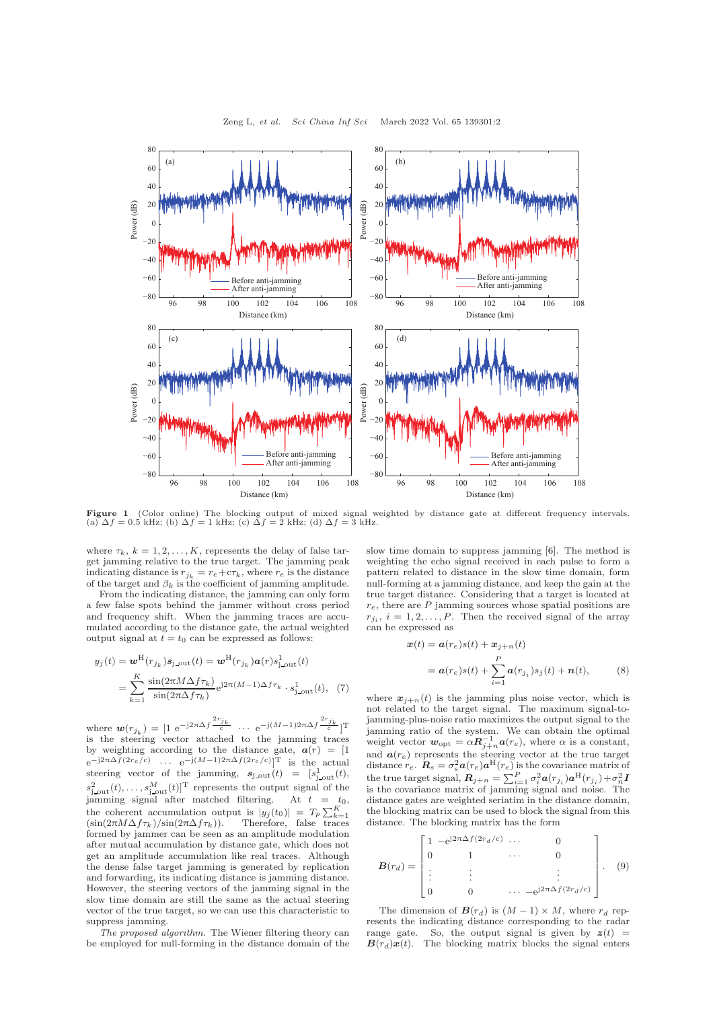

**Figure 1** (Color online) The blocking output of mixed signal weighted by distance gate at different frequency intervals.<br>(a)  $\Delta f = 0.5$  kHz; (b)  $\Delta f = 1$  kHz; (c)  $\Delta f = 2$  kHz; (d)  $\Delta f = 3$  kHz.

where  $\tau_k$ ,  $k = 1, 2, \ldots, K$ , represents the delay of false target jamming relative to the true target. The jamming peak indicating distance is  $r_{j_k} = r_e + c\tau_k$ , where  $r_e$  is the distance of the target and  $\beta_k$  is the coefficient of jamming amplitude.

From the indicating distance, the jamming can only form a few false spots behind the jammer without cross period and frequency shift. When the jamming traces are accumulated according to the distance gate, the actual weighted output signal at  $t = t_0$  can be expressed as follows:

$$
y_j(t) = \boldsymbol{w}^{\mathrm{H}}(r_{j_k})\boldsymbol{s}_{\mathrm{j,out}}(t) = \boldsymbol{w}^{\mathrm{H}}(r_{j_k})\boldsymbol{a}(r)\boldsymbol{s}_{\mathrm{j,out}}^1(t)
$$

$$
= \sum_{k=1}^{K} \frac{\sin(2\pi M \Delta f \tau_k)}{\sin(2\pi \Delta f \tau_k)} e^{j2\pi (M-1) \Delta f \tau_k} \cdot \boldsymbol{s}_{\mathrm{j,out}}^1(t), \quad (7)
$$

where  $w(r_{j_k}) = [1 \text{ e}^{-j2\pi \Delta f} \frac{2r_{j_k}}{c}]$  $\frac{c^j k}{c}$  ...  $e^{-j(M-1)2\pi \Delta f} \frac{2r_{j_k}}{c}$  T is the steering vector attached to the jamming traces by weighting according to the distance gate,  $a(r) = [1]$  $e^{-j2πΔf(2r_e/c)}$  ...  $e^{-j(M-1)2πΔf(2r_e/c)}$ ]<sup>T</sup> is the actual steering vector of the jamming,  $s_{j,out}(t) = [s_{j,out}^1(t),$  $s_{j,out}^2(t),\ldots,s_{j,out}^M(t)]^{\mathrm{T}}$  represents the output signal of the jamming signal after matched filtering. At  $t = t_0$ , the coherent accumulation output is  $|y_j(t_0)| = T_p \sum_{k=1}^K$  $(\sin(2\pi M\Delta f\tau_k)/\sin(2\pi\Delta f\tau_k)).$  Therefore, false traces formed by jammer can be seen as an amplitude modulation after mutual accumulation by distance gate, which does not get an amplitude accumulation like real traces. Although the dense false target jamming is generated by replication and forwarding, its indicating distance is jamming distance. However, the steering vectors of the jamming signal in the slow time domain are still the same as the actual steering vector of the true target, so we can use this characteristic to suppress jamming.

The proposed algorithm. The Wiener filtering theory can be employed for null-forming in the distance domain of the slow time domain to suppress jamming [\[6\]](#page-2-6). The method is weighting the echo signal received in each pulse to form a pattern related to distance in the slow time domain, form null-forming at a jamming distance, and keep the gain at the true target distance. Considering that a target is located at  $r_e$ , there are  $P$  jamming sources whose spatial positions are  $r_{j_i}$ ,  $i = 1, 2, \ldots, P$ . Then the received signal of the array can be expressed as

$$
\mathbf{x}(t) = \mathbf{a}(r_e)s(t) + \mathbf{x}_{j+n}(t)
$$
  
=  $\mathbf{a}(r_e)s(t) + \sum_{i=1}^{P} \mathbf{a}(r_{j_i})s_j(t) + \mathbf{n}(t),$  (8)

where  $x_{j+n}(t)$  is the jamming plus noise vector, which is not related to the target signal. The maximum signal-tojamming-plus-noise ratio maximizes the output signal to the jamming ratio of the system. We can obtain the optimal weight vector  $w_{opt} = \alpha R_{j+n}^{-1} a(r_e)$ , where  $\alpha$  is a constant, and  $\mathbf{a}(r_e)$  represents the steering vector at the true target distance  $r_e$ .  $\mathbf{R}_s = \sigma_s^2 \mathbf{a}(r_e) \mathbf{a}^{\text{H}}(r_e)$  is the covariance matrix of the true target signal,  $\bm{R}_{j+n} = \sum_{i=1}^{P} \sigma_i^2 \bm{a}(r_{j_i}) \bm{a}^{\text{H}}(r_{j_i}) + \sigma_n^2 \bm{I}$ is the covariance matrix of jamming signal and noise. The distance gates are weighted seriatim in the distance domain, the blocking matrix can be used to block the signal from this distance. The blocking matrix has the form

$$
\boldsymbol{B}(r_d) = \begin{bmatrix} 1 & -e^{j2\pi\Delta f(2r_d/c)} & \cdots & 0 \\ 0 & 1 & \cdots & 0 \\ \vdots & \vdots & & \vdots \\ 0 & 0 & \cdots & -e^{j2\pi\Delta f(2r_d/c)} \end{bmatrix} . \quad (9)
$$

The dimension of  $\mathbf{B}(r_d)$  is  $(M-1) \times M$ , where  $r_d$  represents the indicating distance corresponding to the radar range gate. So, the output signal is given by  $z(t)$  =  $\mathbf{B}(r_d)\mathbf{x}(t)$ . The blocking matrix blocks the signal enters